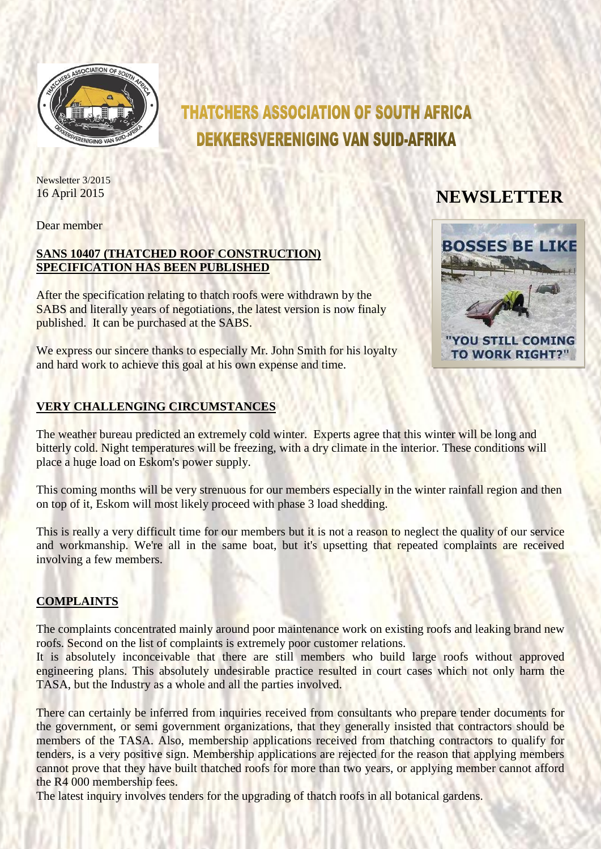

# **THATCHERS ASSOCIATION OF SOUTH AFRICA DEKKERSVERENIGING VAN SUID-AFRIKA**

Newsletter 3/2015

# 16 April 2015 **NEWSLETTER**

Dear member

## **SANS 10407 (THATCHED ROOF CONSTRUCTION) SPECIFICATION HAS BEEN PUBLISHED**

After the specification relating to thatch roofs were withdrawn by the SABS and literally years of negotiations, the latest version is now finaly published. It can be purchased at the SABS.

We express our sincere thanks to especially Mr. John Smith for his loyalty and hard work to achieve this goal at his own expense and time.

# **VERY CHALLENGING CIRCUMSTANCES**

The weather bureau predicted an extremely cold winter. Experts agree that this winter will be long and bitterly cold. Night temperatures will be freezing, with a dry climate in the interior. These conditions will place a huge load on Eskom's power supply.

This coming months will be very strenuous for our members especially in the winter rainfall region and then on top of it, Eskom will most likely proceed with phase 3 load shedding.

This is really a very difficult time for our members but it is not a reason to neglect the quality of our service and workmanship. We're all in the same boat, but it's upsetting that repeated complaints are received involving a few members.

#### **COMPLAINTS**

The complaints concentrated mainly around poor maintenance work on existing roofs and leaking brand new roofs. Second on the list of complaints is extremely poor customer relations.

It is absolutely inconceivable that there are still members who build large roofs without approved engineering plans. This absolutely undesirable practice resulted in court cases which not only harm the TASA, but the Industry as a whole and all the parties involved.

There can certainly be inferred from inquiries received from consultants who prepare tender documents for the government, or semi government organizations, that they generally insisted that contractors should be members of the TASA. Also, membership applications received from thatching contractors to qualify for tenders, is a very positive sign. Membership applications are rejected for the reason that applying members cannot prove that they have built thatched roofs for more than two years, or applying member cannot afford the R4 000 membership fees.

The latest inquiry involves tenders for the upgrading of thatch roofs in all botanical gardens.

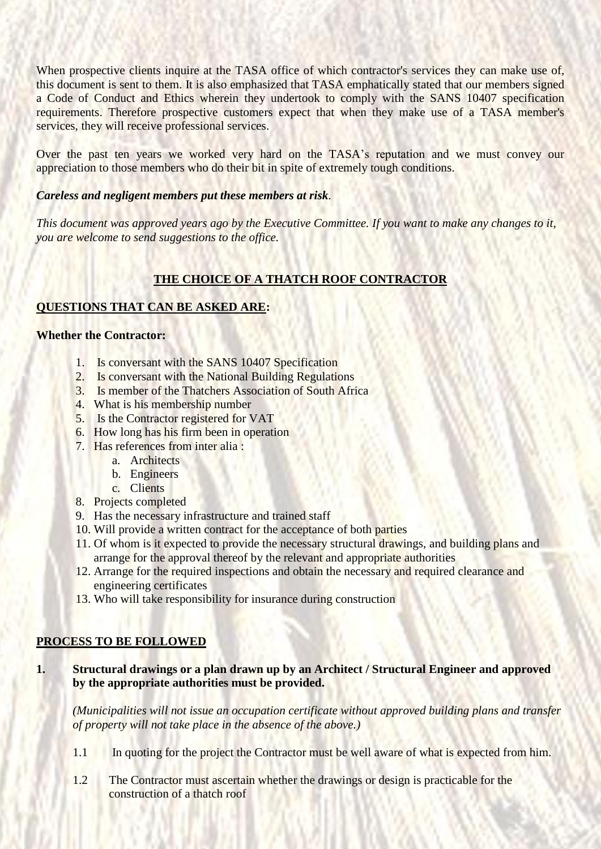When prospective clients inquire at the TASA office of which contractor's services they can make use of, this document is sent to them. It is also emphasized that TASA emphatically stated that our members signed a Code of Conduct and Ethics wherein they undertook to comply with the SANS 10407 specification requirements. Therefore prospective customers expect that when they make use of a TASA member's services, they will receive professional services.

Over the past ten years we worked very hard on the TASA's reputation and we must convey our appreciation to those members who do their bit in spite of extremely tough conditions.

#### *Careless and negligent members put these members at risk.*

*This document was approved years ago by the Executive Committee. If you want to make any changes to it, you are welcome to send suggestions to the office.*

### **THE CHOICE OF A THATCH ROOF CONTRACTOR**

#### **QUESTIONS THAT CAN BE ASKED ARE:**

#### **Whether the Contractor:**

- 1. Is conversant with the SANS 10407 Specification
- 2. Is conversant with the National Building Regulations
- 3. Is member of the Thatchers Association of South Africa
- 4. What is his membership number
- 5. Is the Contractor registered for VAT
- 6. How long has his firm been in operation
- 7. Has references from inter alia :
	- a. Architects
	- b. Engineers
	- c. Clients
- 8. Projects completed
- 9. Has the necessary infrastructure and trained staff
- 10. Will provide a written contract for the acceptance of both parties
- 11. Of whom is it expected to provide the necessary structural drawings, and building plans and arrange for the approval thereof by the relevant and appropriate authorities
- 12. Arrange for the required inspections and obtain the necessary and required clearance and engineering certificates
- 13. Who will take responsibility for insurance during construction

#### **PROCESS TO BE FOLLOWED**

#### **1. Structural drawings or a plan drawn up by an Architect / Structural Engineer and approved by the appropriate authorities must be provided.**

*(Municipalities will not issue an occupation certificate without approved building plans and transfer of property will not take place in the absence of the above.)*

- 1.1 In quoting for the project the Contractor must be well aware of what is expected from him.
- 1.2 The Contractor must ascertain whether the drawings or design is practicable for the construction of a thatch roof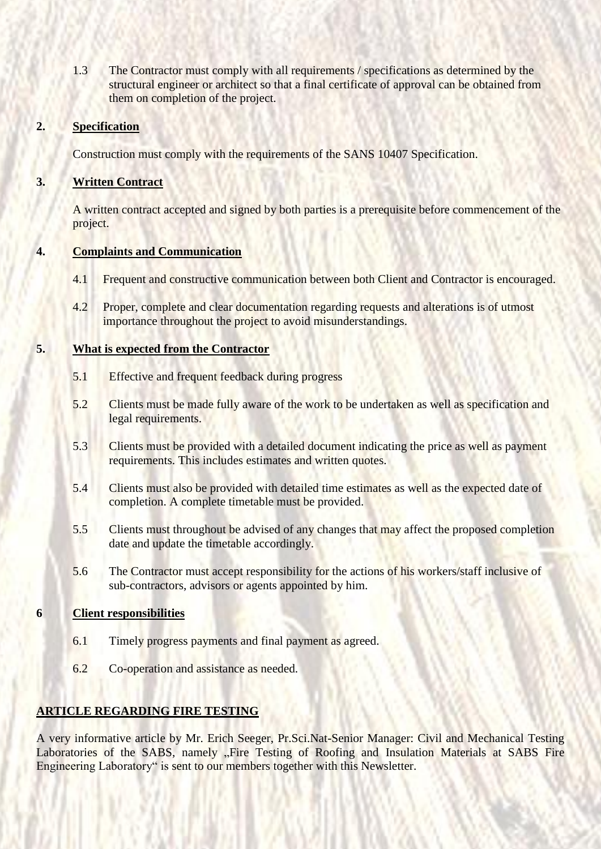1.3 The Contractor must comply with all requirements / specifications as determined by the structural engineer or architect so that a final certificate of approval can be obtained from them on completion of the project.

#### **2. Specification**

Construction must comply with the requirements of the SANS 10407 Specification.

#### **3. Written Contract**

A written contract accepted and signed by both parties is a prerequisite before commencement of the project.

#### **4. Complaints and Communication**

- 4.1 Frequent and constructive communication between both Client and Contractor is encouraged.
- 4.2 Proper, complete and clear documentation regarding requests and alterations is of utmost importance throughout the project to avoid misunderstandings.

#### **5. What is expected from the Contractor**

- 5.1 Effective and frequent feedback during progress
- 5.2 Clients must be made fully aware of the work to be undertaken as well as specification and legal requirements.
- 5.3 Clients must be provided with a detailed document indicating the price as well as payment requirements. This includes estimates and written quotes.
- 5.4 Clients must also be provided with detailed time estimates as well as the expected date of completion. A complete timetable must be provided.
- 5.5 Clients must throughout be advised of any changes that may affect the proposed completion date and update the timetable accordingly.
- 5.6 The Contractor must accept responsibility for the actions of his workers/staff inclusive of sub-contractors, advisors or agents appointed by him.

#### **6 Client responsibilities**

- 6.1 Timely progress payments and final payment as agreed.
- 6.2 Co-operation and assistance as needed.

#### **ARTICLE REGARDING FIRE TESTING**

A very informative article by Mr. Erich Seeger, Pr.Sci.Nat-Senior Manager: Civil and Mechanical Testing Laboratories of the SABS, namely "Fire Testing of Roofing and Insulation Materials at SABS Fire Engineering Laboratory" is sent to our members together with this Newsletter.